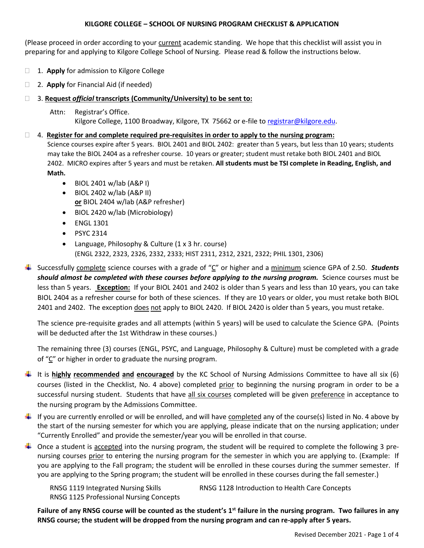### **KILGORE COLLEGE – SCHOOL OF NURSING PROGRAM CHECKLIST & APPLICATION**

(Please proceed in order according to your current academic standing. We hope that this checklist will assist you in preparing for and applying to Kilgore College School of Nursing. Please read & follow the instructions below.

- 1. **Apply** for admission to Kilgore College
- 2. **Apply** for Financial Aid (if needed)

## 3. **Request** *official* **transcripts (Community/University) to be sent to:**

 Attn: Registrar's Office. Kilgore College, 1100 Broadway, Kilgore, TX 75662 or e-file to [registrar@kilgore.edu.](mailto:registrar@kilgore.edu)

#### 4. **Register for and complete required pre-requisites in order to apply to the nursing program:**

 Science courses expire after 5 years. BIOL 2401 and BIOL 2402: greater than 5 years, but less than 10 years; students may take the BIOL 2404 as a refresher course. 10 years or greater; student must retake both BIOL 2401 and BIOL 2402. MICRO expires after 5 years and must be retaken. **All students must be TSI complete in Reading, English, and Math.**

- BIOL 2401 w/lab (A&P I)
- BIOL 2402 w/lab (A&P II) **or** BIOL 2404 w/lab (A&P refresher)
- BIOL 2420 w/lab (Microbiology)
- ENGL 1301
- PSYC 2314
- Language, Philosophy & Culture (1 x 3 hr. course) (ENGL 2322, 2323, 2326, 2332, 2333; HIST 2311, 2312, 2321, 2322; PHIL 1301, 2306)
- Successfully complete science courses with a grade of "C" or higher and a minimum science GPA of 2.50. *Students should almost be completed with these courses before applying to the nursing program.* Science courses must be less than 5 years. **Exception:** If your BIOL 2401 and 2402 is older than 5 years and less than 10 years, you can take BIOL 2404 as a refresher course for both of these sciences. If they are 10 years or older, you must retake both BIOL 2401 and 2402. The exception does not apply to BIOL 2420. If BIOL 2420 is older than 5 years, you must retake.

The science pre-requisite grades and all attempts (within 5 years) will be used to calculate the Science GPA. (Points will be deducted after the 1st Withdraw in these courses.)

The remaining three (3) courses (ENGL, PSYC, and Language, Philosophy & Culture) must be completed with a grade of "C" or higher in order to graduate the nursing program.

- It is **highly recommended and encouraged** by the KC School of Nursing Admissions Committee to have all six (6) courses (listed in the Checklist, No. 4 above) completed prior to beginning the nursing program in order to be a successful nursing student. Students that have all six courses completed will be given preference in acceptance to the nursing program by the Admissions Committee.
- If you are currently enrolled or will be enrolled, and will have completed any of the course(s) listed in No. 4 above by the start of the nursing semester for which you are applying, please indicate that on the nursing application; under "Currently Enrolled" and provide the semester/year you will be enrolled in that course.
- $\ddot{\phantom{1}}$  Once a student is accepted into the nursing program, the student will be required to complete the following 3 prenursing courses prior to entering the nursing program for the semester in which you are applying to. (Example: If you are applying to the Fall program; the student will be enrolled in these courses during the summer semester. If you are applying to the Spring program; the student will be enrolled in these courses during the fall semester.)

RNSG 1119 Integrated Nursing Skills RNSG 1128 Introduction to Health Care Concepts RNSG 1125 Professional Nursing Concepts

Failure of any RNSG course will be counted as the student's 1<sup>st</sup> failure in the nursing program. Two failures in any **RNSG course; the student will be dropped from the nursing program and can re-apply after 5 years.**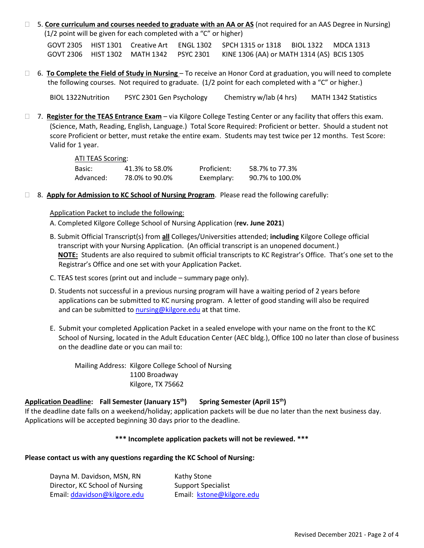5. **Core curriculum and courses needed to graduate with an AA or AS** (not required for an AAS Degree in Nursing) (1/2 point will be given for each completed with a "C" or higher)

 GOVT 2305 HIST 1301 Creative Art ENGL 1302 SPCH 1315 or 1318 BIOL 1322 MDCA 1313 GOVT 2306 HIST 1302 MATH 1342 PSYC 2301 KINE 1306 (AA) or MATH 1314 (AS) BCIS 1305

 6. **To Complete the Field of Study in Nursing** – To receive an Honor Cord at graduation, you will need to complete the following courses. Not required to graduate. (1/2 point for each completed with a "C" or higher.)

BIOL 1322Nutrition PSYC 2301 Gen Psychology Chemistry w/lab (4 hrs) MATH 1342 Statistics

 7. **Register for the TEAS Entrance Exam** – via Kilgore College Testing Center or any facility that offers this exam. (Science, Math, Reading, English, Language.) Total Score Required: Proficient or better. Should a student not score Proficient or better, must retake the entire exam. Students may test twice per 12 months. Test Score: Valid for 1 year.

#### ATI TEAS Scoring:

| Basic:    | 41.3% to 58.0% | Proficient: | 58.7% to 77.3%  |
|-----------|----------------|-------------|-----------------|
| Advanced: | 78.0% to 90.0% | Exemplary:  | 90.7% to 100.0% |

8. **Apply for Admission to KC School of Nursing Program**. Please read the following carefully:

#### Application Packet to include the following:

- A. Completed Kilgore College School of Nursing Application (**rev. June 2021**)
- B. Submit Official Transcript(s) from **all** Colleges/Universities attended; **including** Kilgore College official transcript with your Nursing Application. (An official transcript is an unopened document.) **NOTE:** Students are also required to submit official transcripts to KC Registrar's Office. That's one set to the Registrar's Office and one set with your Application Packet.
- C. TEAS test scores (print out and include summary page only).
- D. Students not successful in a previous nursing program will have a waiting period of 2 years before applications can be submitted to KC nursing program. A letter of good standing will also be required and can be submitted to [nursing@kilgore.edu](mailto:nursing@kilgore.edu) at that time.
- E. Submit your completed Application Packet in a sealed envelope with your name on the front to the KC School of Nursing, located in the Adult Education Center (AEC bldg.), Office 100 no later than close of business on the deadline date or you can mail to:

Mailing Address: Kilgore College School of Nursing 1100 Broadway Kilgore, TX 75662

#### **Application Deadline: Fall Semester (January 15 th) Spring Semester (April 15th)**

If the deadline date falls on a weekend/holiday; application packets will be due no later than the next business day. Applications will be accepted beginning 30 days prior to the deadline.

## **\*\*\* Incomplete application packets will not be reviewed. \*\*\***

# **Please contact us with any questions regarding the KC School of Nursing:**

| Dayna M. Davidson, MSN, RN     | Kathy Stone               |  |  |  |  |
|--------------------------------|---------------------------|--|--|--|--|
| Director, KC School of Nursing | <b>Support Specialist</b> |  |  |  |  |
| Email: ddavidson@kilgore.edu   | Email: kstone@kilgore.edu |  |  |  |  |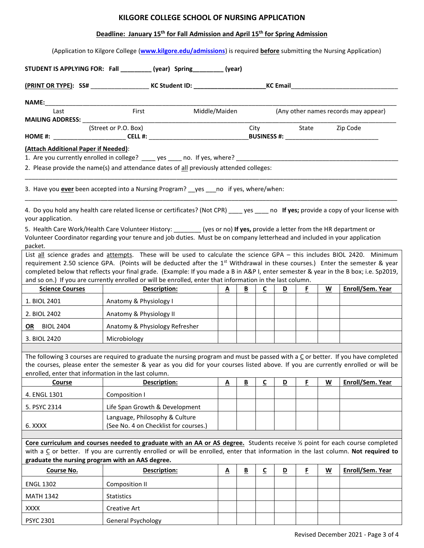## **KILGORE COLLEGE SCHOOL OF NURSING APPLICATION**

# **Deadline: January 15th for Fall Admission and April 15th for Spring Admission**

(Application to Kilgore College (**[www.kilgore.edu/admissions](http://www.kilgore.edu/admissions)**) is required **before** submitting the Nursing Application)

| <b>NAME:</b><br>First<br>Middle/Maiden<br>Last<br>(Any other names records may appear)<br><b>MAILING ADDRESS:</b><br>(Street or P.O. Box)<br>City<br>Zip Code<br>State<br>(Attach Additional Paper if Needed):<br>1. Are you currently enrolled in college? _____ yes _____ no. If yes, where? ______________________<br>2. Please provide the name(s) and attendance dates of all previously attended colleges:<br>3. Have you <i>ever</i> been accepted into a Nursing Program? __yes ___no if yes, where/when:<br>4. Do you hold any health care related license or certificates? (Not CPR) _____ yes _____ no If yes; provide a copy of your license with<br>your application.<br>5. Health Care Work/Health Care Volunteer History: _______(yes or no) If yes, provide a letter from the HR department or<br>Volunteer Coordinator regarding your tenure and job duties. Must be on company letterhead and included in your application<br>packet.<br>List all science grades and attempts. These will be used to calculate the science GPA - this includes BIOL 2420. Minimum<br>requirement 2.50 science GPA. (Points will be deducted after the 1 <sup>st</sup> Withdrawal in these courses.) Enter the semester & year<br>completed below that reflects your final grade. (Example: If you made a B in A&P I, enter semester & year in the B box; i.e. Sp2019,<br>and so on.) If you are currently enrolled or will be enrolled, enter that information in the last column.<br><b>Science Courses</b><br>Description:<br>W<br>$\overline{B}$<br>$\overline{c}$<br>D<br>F.<br><u>A</u><br>1. BIOL 2401<br>Anatomy & Physiology I<br>2. BIOL 2402<br>Anatomy & Physiology II<br><b>OR</b> BIOL 2404<br>Anatomy & Physiology Refresher<br>3. BIOL 2420<br>Microbiology<br>The following 3 courses are required to graduate the nursing program and must be passed with a $C$ or better. If you have completed<br>the courses, please enter the semester & year as you did for your courses listed above. If you are currently enrolled or will be<br>enrolled, enter that information in the last column.<br>F<br>W<br>Enroll/Sem. Year<br>Course<br>Description:<br>$\overline{\mathbf{B}}$<br>C<br>D<br>$\overline{\mathbf{A}}$<br>4. ENGL 1301<br>Composition I<br>Life Span Growth & Development<br>5. PSYC 2314<br>Language, Philosophy & Culture<br>(See No. 4 on Checklist for courses.)<br>6. XXXX<br>Core curriculum and courses needed to graduate with an AA or AS degree. Students receive 1/2 point for each course completed<br>with a C or better. If you are currently enrolled or will be enrolled, enter that information in the last column. Not required to<br>graduate the nursing program with an AAS degree.<br>E<br>$\underline{\mathsf{C}}$<br>$\underline{\mathsf{w}}$<br>Course No.<br>Description:<br>$\underline{\mathbf{A}}$<br>$\underline{\mathsf{B}}$<br>$\overline{\mathbf{D}}$<br><b>ENGL 1302</b><br>Composition II<br><b>MATH 1342</b><br><b>Statistics</b><br><b>XXXX</b><br><b>Creative Art</b> |                  |                           |  |  |  |                  |
|----------------------------------------------------------------------------------------------------------------------------------------------------------------------------------------------------------------------------------------------------------------------------------------------------------------------------------------------------------------------------------------------------------------------------------------------------------------------------------------------------------------------------------------------------------------------------------------------------------------------------------------------------------------------------------------------------------------------------------------------------------------------------------------------------------------------------------------------------------------------------------------------------------------------------------------------------------------------------------------------------------------------------------------------------------------------------------------------------------------------------------------------------------------------------------------------------------------------------------------------------------------------------------------------------------------------------------------------------------------------------------------------------------------------------------------------------------------------------------------------------------------------------------------------------------------------------------------------------------------------------------------------------------------------------------------------------------------------------------------------------------------------------------------------------------------------------------------------------------------------------------------------------------------------------------------------------------------------------------------------------------------------------------------------------------------------------------------------------------------------------------------------------------------------------------------------------------------------------------------------------------------------------------------------------------------------------------------------------------------------------------------------------------------------------------------------------------------------------------------------------------------------------------------------------------------------------------------------------------------------------------------------------------------------------------------------------------------------------------------------------------------------------------------------------------------------------------------------------------------------------------------------------------------------------------------------------------------------------------------------------------------------------------------------|------------------|---------------------------|--|--|--|------------------|
|                                                                                                                                                                                                                                                                                                                                                                                                                                                                                                                                                                                                                                                                                                                                                                                                                                                                                                                                                                                                                                                                                                                                                                                                                                                                                                                                                                                                                                                                                                                                                                                                                                                                                                                                                                                                                                                                                                                                                                                                                                                                                                                                                                                                                                                                                                                                                                                                                                                                                                                                                                                                                                                                                                                                                                                                                                                                                                                                                                                                                                              |                  |                           |  |  |  |                  |
|                                                                                                                                                                                                                                                                                                                                                                                                                                                                                                                                                                                                                                                                                                                                                                                                                                                                                                                                                                                                                                                                                                                                                                                                                                                                                                                                                                                                                                                                                                                                                                                                                                                                                                                                                                                                                                                                                                                                                                                                                                                                                                                                                                                                                                                                                                                                                                                                                                                                                                                                                                                                                                                                                                                                                                                                                                                                                                                                                                                                                                              |                  |                           |  |  |  |                  |
|                                                                                                                                                                                                                                                                                                                                                                                                                                                                                                                                                                                                                                                                                                                                                                                                                                                                                                                                                                                                                                                                                                                                                                                                                                                                                                                                                                                                                                                                                                                                                                                                                                                                                                                                                                                                                                                                                                                                                                                                                                                                                                                                                                                                                                                                                                                                                                                                                                                                                                                                                                                                                                                                                                                                                                                                                                                                                                                                                                                                                                              |                  |                           |  |  |  |                  |
|                                                                                                                                                                                                                                                                                                                                                                                                                                                                                                                                                                                                                                                                                                                                                                                                                                                                                                                                                                                                                                                                                                                                                                                                                                                                                                                                                                                                                                                                                                                                                                                                                                                                                                                                                                                                                                                                                                                                                                                                                                                                                                                                                                                                                                                                                                                                                                                                                                                                                                                                                                                                                                                                                                                                                                                                                                                                                                                                                                                                                                              |                  |                           |  |  |  |                  |
|                                                                                                                                                                                                                                                                                                                                                                                                                                                                                                                                                                                                                                                                                                                                                                                                                                                                                                                                                                                                                                                                                                                                                                                                                                                                                                                                                                                                                                                                                                                                                                                                                                                                                                                                                                                                                                                                                                                                                                                                                                                                                                                                                                                                                                                                                                                                                                                                                                                                                                                                                                                                                                                                                                                                                                                                                                                                                                                                                                                                                                              |                  |                           |  |  |  |                  |
|                                                                                                                                                                                                                                                                                                                                                                                                                                                                                                                                                                                                                                                                                                                                                                                                                                                                                                                                                                                                                                                                                                                                                                                                                                                                                                                                                                                                                                                                                                                                                                                                                                                                                                                                                                                                                                                                                                                                                                                                                                                                                                                                                                                                                                                                                                                                                                                                                                                                                                                                                                                                                                                                                                                                                                                                                                                                                                                                                                                                                                              |                  |                           |  |  |  |                  |
|                                                                                                                                                                                                                                                                                                                                                                                                                                                                                                                                                                                                                                                                                                                                                                                                                                                                                                                                                                                                                                                                                                                                                                                                                                                                                                                                                                                                                                                                                                                                                                                                                                                                                                                                                                                                                                                                                                                                                                                                                                                                                                                                                                                                                                                                                                                                                                                                                                                                                                                                                                                                                                                                                                                                                                                                                                                                                                                                                                                                                                              |                  |                           |  |  |  |                  |
|                                                                                                                                                                                                                                                                                                                                                                                                                                                                                                                                                                                                                                                                                                                                                                                                                                                                                                                                                                                                                                                                                                                                                                                                                                                                                                                                                                                                                                                                                                                                                                                                                                                                                                                                                                                                                                                                                                                                                                                                                                                                                                                                                                                                                                                                                                                                                                                                                                                                                                                                                                                                                                                                                                                                                                                                                                                                                                                                                                                                                                              |                  |                           |  |  |  |                  |
|                                                                                                                                                                                                                                                                                                                                                                                                                                                                                                                                                                                                                                                                                                                                                                                                                                                                                                                                                                                                                                                                                                                                                                                                                                                                                                                                                                                                                                                                                                                                                                                                                                                                                                                                                                                                                                                                                                                                                                                                                                                                                                                                                                                                                                                                                                                                                                                                                                                                                                                                                                                                                                                                                                                                                                                                                                                                                                                                                                                                                                              |                  |                           |  |  |  |                  |
|                                                                                                                                                                                                                                                                                                                                                                                                                                                                                                                                                                                                                                                                                                                                                                                                                                                                                                                                                                                                                                                                                                                                                                                                                                                                                                                                                                                                                                                                                                                                                                                                                                                                                                                                                                                                                                                                                                                                                                                                                                                                                                                                                                                                                                                                                                                                                                                                                                                                                                                                                                                                                                                                                                                                                                                                                                                                                                                                                                                                                                              |                  |                           |  |  |  |                  |
|                                                                                                                                                                                                                                                                                                                                                                                                                                                                                                                                                                                                                                                                                                                                                                                                                                                                                                                                                                                                                                                                                                                                                                                                                                                                                                                                                                                                                                                                                                                                                                                                                                                                                                                                                                                                                                                                                                                                                                                                                                                                                                                                                                                                                                                                                                                                                                                                                                                                                                                                                                                                                                                                                                                                                                                                                                                                                                                                                                                                                                              |                  |                           |  |  |  |                  |
|                                                                                                                                                                                                                                                                                                                                                                                                                                                                                                                                                                                                                                                                                                                                                                                                                                                                                                                                                                                                                                                                                                                                                                                                                                                                                                                                                                                                                                                                                                                                                                                                                                                                                                                                                                                                                                                                                                                                                                                                                                                                                                                                                                                                                                                                                                                                                                                                                                                                                                                                                                                                                                                                                                                                                                                                                                                                                                                                                                                                                                              |                  |                           |  |  |  | Enroll/Sem. Year |
|                                                                                                                                                                                                                                                                                                                                                                                                                                                                                                                                                                                                                                                                                                                                                                                                                                                                                                                                                                                                                                                                                                                                                                                                                                                                                                                                                                                                                                                                                                                                                                                                                                                                                                                                                                                                                                                                                                                                                                                                                                                                                                                                                                                                                                                                                                                                                                                                                                                                                                                                                                                                                                                                                                                                                                                                                                                                                                                                                                                                                                              |                  |                           |  |  |  |                  |
|                                                                                                                                                                                                                                                                                                                                                                                                                                                                                                                                                                                                                                                                                                                                                                                                                                                                                                                                                                                                                                                                                                                                                                                                                                                                                                                                                                                                                                                                                                                                                                                                                                                                                                                                                                                                                                                                                                                                                                                                                                                                                                                                                                                                                                                                                                                                                                                                                                                                                                                                                                                                                                                                                                                                                                                                                                                                                                                                                                                                                                              |                  |                           |  |  |  |                  |
|                                                                                                                                                                                                                                                                                                                                                                                                                                                                                                                                                                                                                                                                                                                                                                                                                                                                                                                                                                                                                                                                                                                                                                                                                                                                                                                                                                                                                                                                                                                                                                                                                                                                                                                                                                                                                                                                                                                                                                                                                                                                                                                                                                                                                                                                                                                                                                                                                                                                                                                                                                                                                                                                                                                                                                                                                                                                                                                                                                                                                                              |                  |                           |  |  |  |                  |
|                                                                                                                                                                                                                                                                                                                                                                                                                                                                                                                                                                                                                                                                                                                                                                                                                                                                                                                                                                                                                                                                                                                                                                                                                                                                                                                                                                                                                                                                                                                                                                                                                                                                                                                                                                                                                                                                                                                                                                                                                                                                                                                                                                                                                                                                                                                                                                                                                                                                                                                                                                                                                                                                                                                                                                                                                                                                                                                                                                                                                                              |                  |                           |  |  |  |                  |
|                                                                                                                                                                                                                                                                                                                                                                                                                                                                                                                                                                                                                                                                                                                                                                                                                                                                                                                                                                                                                                                                                                                                                                                                                                                                                                                                                                                                                                                                                                                                                                                                                                                                                                                                                                                                                                                                                                                                                                                                                                                                                                                                                                                                                                                                                                                                                                                                                                                                                                                                                                                                                                                                                                                                                                                                                                                                                                                                                                                                                                              |                  |                           |  |  |  |                  |
|                                                                                                                                                                                                                                                                                                                                                                                                                                                                                                                                                                                                                                                                                                                                                                                                                                                                                                                                                                                                                                                                                                                                                                                                                                                                                                                                                                                                                                                                                                                                                                                                                                                                                                                                                                                                                                                                                                                                                                                                                                                                                                                                                                                                                                                                                                                                                                                                                                                                                                                                                                                                                                                                                                                                                                                                                                                                                                                                                                                                                                              |                  |                           |  |  |  |                  |
|                                                                                                                                                                                                                                                                                                                                                                                                                                                                                                                                                                                                                                                                                                                                                                                                                                                                                                                                                                                                                                                                                                                                                                                                                                                                                                                                                                                                                                                                                                                                                                                                                                                                                                                                                                                                                                                                                                                                                                                                                                                                                                                                                                                                                                                                                                                                                                                                                                                                                                                                                                                                                                                                                                                                                                                                                                                                                                                                                                                                                                              |                  |                           |  |  |  |                  |
|                                                                                                                                                                                                                                                                                                                                                                                                                                                                                                                                                                                                                                                                                                                                                                                                                                                                                                                                                                                                                                                                                                                                                                                                                                                                                                                                                                                                                                                                                                                                                                                                                                                                                                                                                                                                                                                                                                                                                                                                                                                                                                                                                                                                                                                                                                                                                                                                                                                                                                                                                                                                                                                                                                                                                                                                                                                                                                                                                                                                                                              |                  |                           |  |  |  |                  |
|                                                                                                                                                                                                                                                                                                                                                                                                                                                                                                                                                                                                                                                                                                                                                                                                                                                                                                                                                                                                                                                                                                                                                                                                                                                                                                                                                                                                                                                                                                                                                                                                                                                                                                                                                                                                                                                                                                                                                                                                                                                                                                                                                                                                                                                                                                                                                                                                                                                                                                                                                                                                                                                                                                                                                                                                                                                                                                                                                                                                                                              |                  |                           |  |  |  |                  |
|                                                                                                                                                                                                                                                                                                                                                                                                                                                                                                                                                                                                                                                                                                                                                                                                                                                                                                                                                                                                                                                                                                                                                                                                                                                                                                                                                                                                                                                                                                                                                                                                                                                                                                                                                                                                                                                                                                                                                                                                                                                                                                                                                                                                                                                                                                                                                                                                                                                                                                                                                                                                                                                                                                                                                                                                                                                                                                                                                                                                                                              |                  |                           |  |  |  |                  |
|                                                                                                                                                                                                                                                                                                                                                                                                                                                                                                                                                                                                                                                                                                                                                                                                                                                                                                                                                                                                                                                                                                                                                                                                                                                                                                                                                                                                                                                                                                                                                                                                                                                                                                                                                                                                                                                                                                                                                                                                                                                                                                                                                                                                                                                                                                                                                                                                                                                                                                                                                                                                                                                                                                                                                                                                                                                                                                                                                                                                                                              |                  |                           |  |  |  | Enroll/Sem. Year |
|                                                                                                                                                                                                                                                                                                                                                                                                                                                                                                                                                                                                                                                                                                                                                                                                                                                                                                                                                                                                                                                                                                                                                                                                                                                                                                                                                                                                                                                                                                                                                                                                                                                                                                                                                                                                                                                                                                                                                                                                                                                                                                                                                                                                                                                                                                                                                                                                                                                                                                                                                                                                                                                                                                                                                                                                                                                                                                                                                                                                                                              |                  |                           |  |  |  |                  |
|                                                                                                                                                                                                                                                                                                                                                                                                                                                                                                                                                                                                                                                                                                                                                                                                                                                                                                                                                                                                                                                                                                                                                                                                                                                                                                                                                                                                                                                                                                                                                                                                                                                                                                                                                                                                                                                                                                                                                                                                                                                                                                                                                                                                                                                                                                                                                                                                                                                                                                                                                                                                                                                                                                                                                                                                                                                                                                                                                                                                                                              |                  |                           |  |  |  |                  |
|                                                                                                                                                                                                                                                                                                                                                                                                                                                                                                                                                                                                                                                                                                                                                                                                                                                                                                                                                                                                                                                                                                                                                                                                                                                                                                                                                                                                                                                                                                                                                                                                                                                                                                                                                                                                                                                                                                                                                                                                                                                                                                                                                                                                                                                                                                                                                                                                                                                                                                                                                                                                                                                                                                                                                                                                                                                                                                                                                                                                                                              |                  |                           |  |  |  |                  |
|                                                                                                                                                                                                                                                                                                                                                                                                                                                                                                                                                                                                                                                                                                                                                                                                                                                                                                                                                                                                                                                                                                                                                                                                                                                                                                                                                                                                                                                                                                                                                                                                                                                                                                                                                                                                                                                                                                                                                                                                                                                                                                                                                                                                                                                                                                                                                                                                                                                                                                                                                                                                                                                                                                                                                                                                                                                                                                                                                                                                                                              | <b>PSYC 2301</b> | <b>General Psychology</b> |  |  |  |                  |